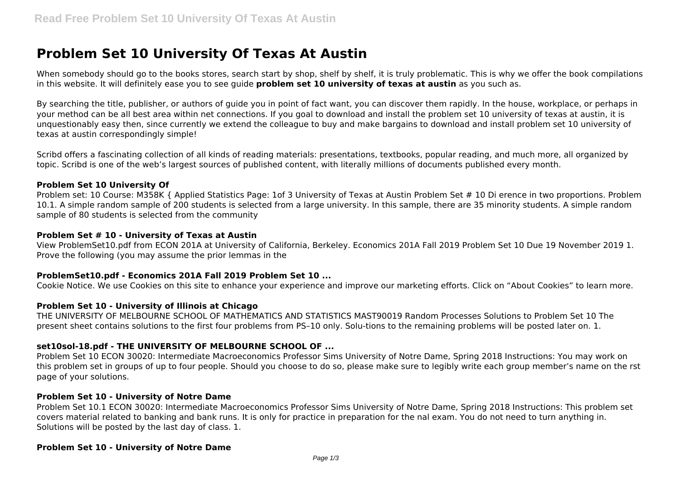# **Problem Set 10 University Of Texas At Austin**

When somebody should go to the books stores, search start by shop, shelf by shelf, it is truly problematic. This is why we offer the book compilations in this website. It will definitely ease you to see guide **problem set 10 university of texas at austin** as you such as.

By searching the title, publisher, or authors of guide you in point of fact want, you can discover them rapidly. In the house, workplace, or perhaps in your method can be all best area within net connections. If you goal to download and install the problem set 10 university of texas at austin, it is unquestionably easy then, since currently we extend the colleague to buy and make bargains to download and install problem set 10 university of texas at austin correspondingly simple!

Scribd offers a fascinating collection of all kinds of reading materials: presentations, textbooks, popular reading, and much more, all organized by topic. Scribd is one of the web's largest sources of published content, with literally millions of documents published every month.

### **Problem Set 10 University Of**

Problem set: 10 Course: M358K { Applied Statistics Page: 1of 3 University of Texas at Austin Problem Set # 10 Di erence in two proportions. Problem 10.1. A simple random sample of 200 students is selected from a large university. In this sample, there are 35 minority students. A simple random sample of 80 students is selected from the community

#### **Problem Set # 10 - University of Texas at Austin**

View ProblemSet10.pdf from ECON 201A at University of California, Berkeley. Economics 201A Fall 2019 Problem Set 10 Due 19 November 2019 1. Prove the following (you may assume the prior lemmas in the

### **ProblemSet10.pdf - Economics 201A Fall 2019 Problem Set 10 ...**

Cookie Notice. We use Cookies on this site to enhance your experience and improve our marketing efforts. Click on "About Cookies" to learn more.

### **Problem Set 10 - University of Illinois at Chicago**

THE UNIVERSITY OF MELBOURNE SCHOOL OF MATHEMATICS AND STATISTICS MAST90019 Random Processes Solutions to Problem Set 10 The present sheet contains solutions to the first four problems from PS–10 only. Solu-tions to the remaining problems will be posted later on. 1.

## **set10sol-18.pdf - THE UNIVERSITY OF MELBOURNE SCHOOL OF ...**

Problem Set 10 ECON 30020: Intermediate Macroeconomics Professor Sims University of Notre Dame, Spring 2018 Instructions: You may work on this problem set in groups of up to four people. Should you choose to do so, please make sure to legibly write each group member's name on the rst page of your solutions.

#### **Problem Set 10 - University of Notre Dame**

Problem Set 10.1 ECON 30020: Intermediate Macroeconomics Professor Sims University of Notre Dame, Spring 2018 Instructions: This problem set covers material related to banking and bank runs. It is only for practice in preparation for the nal exam. You do not need to turn anything in. Solutions will be posted by the last day of class. 1.

#### **Problem Set 10 - University of Notre Dame**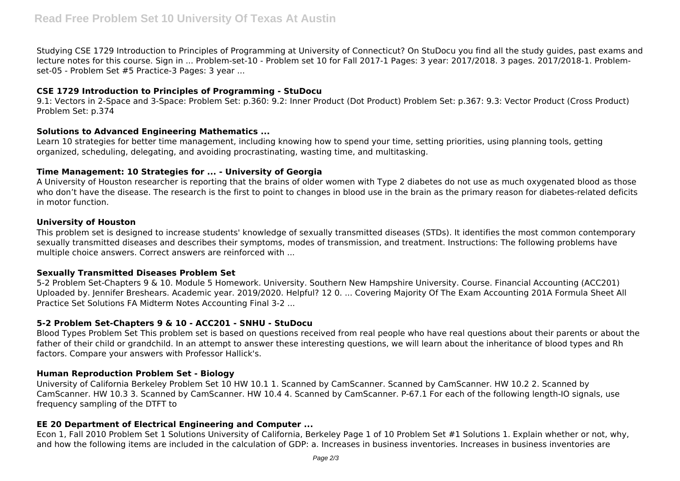Studying CSE 1729 Introduction to Principles of Programming at University of Connecticut? On StuDocu you find all the study guides, past exams and lecture notes for this course. Sign in ... Problem-set-10 - Problem set 10 for Fall 2017-1 Pages: 3 year: 2017/2018. 3 pages. 2017/2018-1. Problemset-05 - Problem Set #5 Practice-3 Pages: 3 year ...

## **CSE 1729 Introduction to Principles of Programming - StuDocu**

9.1: Vectors in 2-Space and 3-Space: Problem Set: p.360: 9.2: Inner Product (Dot Product) Problem Set: p.367: 9.3: Vector Product (Cross Product) Problem Set: p.374

## **Solutions to Advanced Engineering Mathematics ...**

Learn 10 strategies for better time management, including knowing how to spend your time, setting priorities, using planning tools, getting organized, scheduling, delegating, and avoiding procrastinating, wasting time, and multitasking.

## **Time Management: 10 Strategies for ... - University of Georgia**

A University of Houston researcher is reporting that the brains of older women with Type 2 diabetes do not use as much oxygenated blood as those who don't have the disease. The research is the first to point to changes in blood use in the brain as the primary reason for diabetes-related deficits in motor function.

### **University of Houston**

This problem set is designed to increase students' knowledge of sexually transmitted diseases (STDs). It identifies the most common contemporary sexually transmitted diseases and describes their symptoms, modes of transmission, and treatment. Instructions: The following problems have multiple choice answers. Correct answers are reinforced with ...

### **Sexually Transmitted Diseases Problem Set**

5-2 Problem Set-Chapters 9 & 10. Module 5 Homework. University. Southern New Hampshire University. Course. Financial Accounting (ACC201) Uploaded by. Jennifer Breshears. Academic year. 2019/2020. Helpful? 12 0. ... Covering Majority Of The Exam Accounting 201A Formula Sheet All Practice Set Solutions FA Midterm Notes Accounting Final 3-2 ...

### **5-2 Problem Set-Chapters 9 & 10 - ACC201 - SNHU - StuDocu**

Blood Types Problem Set This problem set is based on questions received from real people who have real questions about their parents or about the father of their child or grandchild. In an attempt to answer these interesting questions, we will learn about the inheritance of blood types and Rh factors. Compare your answers with Professor Hallick's.

### **Human Reproduction Problem Set - Biology**

University of California Berkeley Problem Set 10 HW 10.1 1. Scanned by CamScanner. Scanned by CamScanner. HW 10.2 2. Scanned by CamScanner. HW 10.3 3. Scanned by CamScanner. HW 10.4 4. Scanned by CamScanner. P-67.1 For each of the following length-IO signals, use frequency sampling of the DTFT to

# **EE 20 Department of Electrical Engineering and Computer ...**

Econ 1, Fall 2010 Problem Set 1 Solutions University of California, Berkeley Page 1 of 10 Problem Set #1 Solutions 1. Explain whether or not, why, and how the following items are included in the calculation of GDP: a. Increases in business inventories. Increases in business inventories are